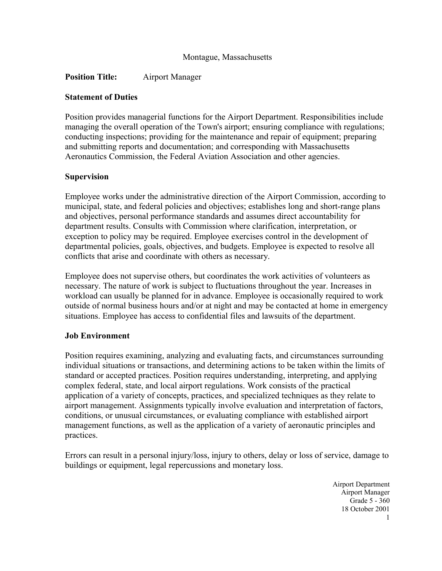## **Position Title:** Airport Manager

#### **Statement of Duties**

Position provides managerial functions for the Airport Department. Responsibilities include managing the overall operation of the Town's airport; ensuring compliance with regulations; conducting inspections; providing for the maintenance and repair of equipment; preparing and submitting reports and documentation; and corresponding with Massachusetts Aeronautics Commission, the Federal Aviation Association and other agencies.

#### **Supervision**

Employee works under the administrative direction of the Airport Commission, according to municipal, state, and federal policies and objectives; establishes long and short-range plans and objectives, personal performance standards and assumes direct accountability for department results. Consults with Commission where clarification, interpretation, or exception to policy may be required. Employee exercises control in the development of departmental policies, goals, objectives, and budgets. Employee is expected to resolve all conflicts that arise and coordinate with others as necessary.

Employee does not supervise others, but coordinates the work activities of volunteers as necessary. The nature of work is subject to fluctuations throughout the year. Increases in workload can usually be planned for in advance. Employee is occasionally required to work outside of normal business hours and/or at night and may be contacted at home in emergency situations. Employee has access to confidential files and lawsuits of the department.

#### **Job Environment**

Position requires examining, analyzing and evaluating facts, and circumstances surrounding individual situations or transactions, and determining actions to be taken within the limits of standard or accepted practices. Position requires understanding, interpreting, and applying complex federal, state, and local airport regulations. Work consists of the practical application of a variety of concepts, practices, and specialized techniques as they relate to airport management. Assignments typically involve evaluation and interpretation of factors, conditions, or unusual circumstances, or evaluating compliance with established airport management functions, as well as the application of a variety of aeronautic principles and practices.

Errors can result in a personal injury/loss, injury to others, delay or loss of service, damage to buildings or equipment, legal repercussions and monetary loss.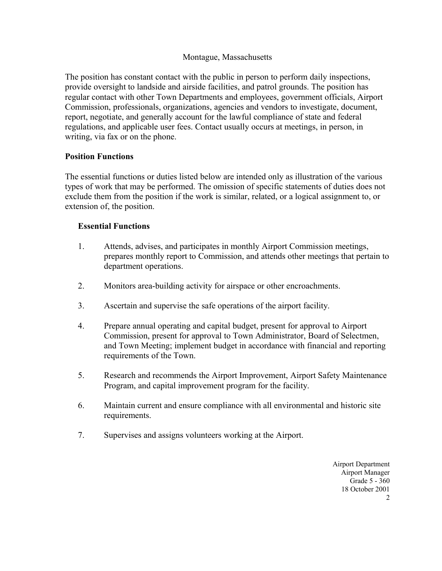The position has constant contact with the public in person to perform daily inspections, provide oversight to landside and airside facilities, and patrol grounds. The position has regular contact with other Town Departments and employees, government officials, Airport Commission, professionals, organizations, agencies and vendors to investigate, document, report, negotiate, and generally account for the lawful compliance of state and federal regulations, and applicable user fees. Contact usually occurs at meetings, in person, in writing, via fax or on the phone.

## **Position Functions**

The essential functions or duties listed below are intended only as illustration of the various types of work that may be performed. The omission of specific statements of duties does not exclude them from the position if the work is similar, related, or a logical assignment to, or extension of, the position.

## **Essential Functions**

- 1. Attends, advises, and participates in monthly Airport Commission meetings, prepares monthly report to Commission, and attends other meetings that pertain to department operations.
- 2. Monitors area-building activity for airspace or other encroachments.
- 3. Ascertain and supervise the safe operations of the airport facility.
- 4. Prepare annual operating and capital budget, present for approval to Airport Commission, present for approval to Town Administrator, Board of Selectmen, and Town Meeting; implement budget in accordance with financial and reporting requirements of the Town.
- 5. Research and recommends the Airport Improvement, Airport Safety Maintenance Program, and capital improvement program for the facility.
- 6. Maintain current and ensure compliance with all environmental and historic site requirements.
- 7. Supervises and assigns volunteers working at the Airport.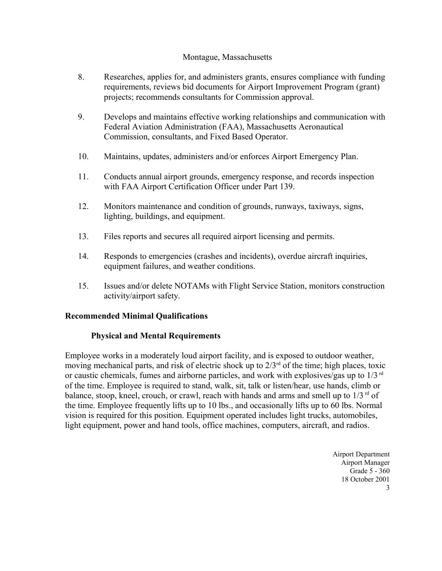- 8. Researches, applies for, and administers grants, ensures compliance with funding requirements, reviews bid documents for Airport Improvement Program (grant) projects; recommends consultants for Commission approval.
- 9. Develops and maintains effective working relationships and communication with Federal Aviation Administration (FAA), Massachusetts Aeronautical Commission, consultants, and Fixed Based Operator.
- 10. Maintains, updates, administers and/or enforces Airport Emergency Plan.
- 11. Conducts annual airport grounds, emergency response, and records inspection with FAA Airport Certification Officer under Part 139.
- 12. Monitors maintenance and condition of grounds, runways, taxiways, signs, lighting, buildings, and equipment.
- 13. Files reports and secures all required airport licensing and permits.
- 14. Responds to emergencies (crashes and incidents), overdue aircraft inquiries, equipment failures, and weather conditions.
- 15. Issues and/or delete NOTAMs with Flight Service Station, monitors construction activity/airport safety.

# **Recommended Minimal Qualifications**

# **Physical and Mental Requirements**

Employee works in a moderately loud airport facility, and is exposed to outdoor weather, moving mechanical parts, and risk of electric shock up to  $2/3<sup>rd</sup>$  of the time; high places, toxic or caustic chemicals, fumes and airborne particles, and work with explosives/gas up to  $1/3$ <sup>rd</sup> of the time. Employee is required to stand, walk, sit, talk or listen/hear, use hands, climb or balance, stoop, kneel, crouch, or crawl, reach with hands and arms and smell up to  $1/3^{rd}$  of the time. Employee frequently lifts up to 10 lbs., and occasionally lifts up to 60 lbs. Normal vision is required for this position. Equipment operated includes light trucks, automobiles, light equipment, power and hand tools, office machines, computers, aircraft, and radios.